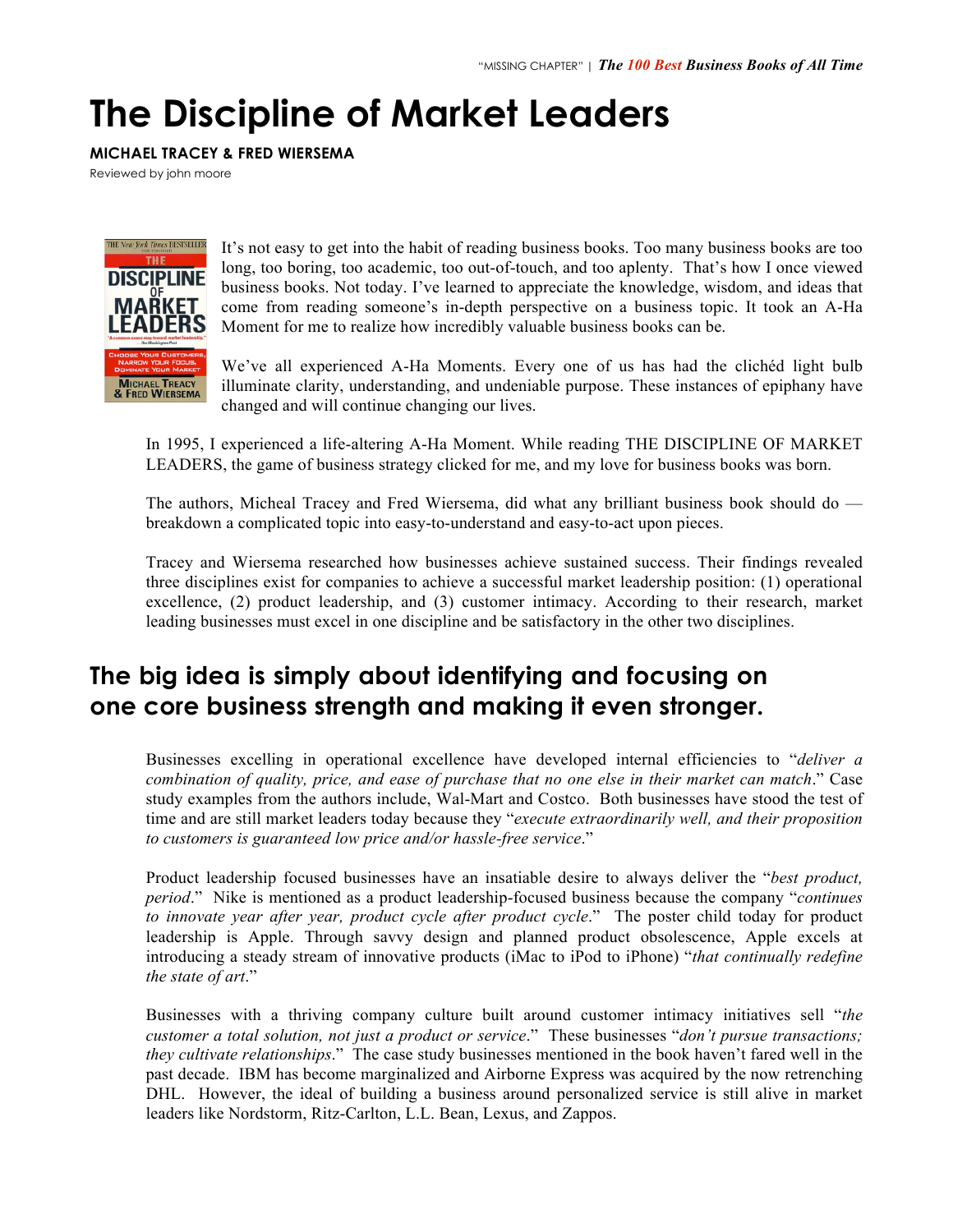## **The Discipline of Market Leaders**

## **MICHAEL TRACEY & FRED WIERSEMA**

Reviewed by john moore



It's not easy to get into the habit of reading business books. Too many business books are too long, too boring, too academic, too out-of-touch, and too aplenty. That's how I once viewed business books. Not today. I've learned to appreciate the knowledge, wisdom, and ideas that come from reading someone's in-depth perspective on a business topic. It took an A-Ha Moment for me to realize how incredibly valuable business books can be.

We've all experienced A-Ha Moments. Every one of us has had the clichéd light bulb illuminate clarity, understanding, and undeniable purpose. These instances of epiphany have changed and will continue changing our lives.

In 1995, I experienced a life-altering A-Ha Moment. While reading THE DISCIPLINE OF MARKET LEADERS, the game of business strategy clicked for me, and my love for business books was born.

The authors, Micheal Tracey and Fred Wiersema, did what any brilliant business book should do breakdown a complicated topic into easy-to-understand and easy-to-act upon pieces.

Tracey and Wiersema researched how businesses achieve sustained success. Their findings revealed three disciplines exist for companies to achieve a successful market leadership position: (1) operational excellence, (2) product leadership, and (3) customer intimacy. According to their research, market leading businesses must excel in one discipline and be satisfactory in the other two disciplines.

## **The big idea is simply about identifying and focusing on one core business strength and making it even stronger.**

Businesses excelling in operational excellence have developed internal efficiencies to "*deliver a combination of quality, price, and ease of purchase that no one else in their market can match*." Case study examples from the authors include, Wal-Mart and Costco. Both businesses have stood the test of time and are still market leaders today because they "*execute extraordinarily well, and their proposition to customers is guaranteed low price and/or hassle-free service*."

Product leadership focused businesses have an insatiable desire to always deliver the "*best product, period*." Nike is mentioned as a product leadership-focused business because the company "*continues to innovate year after year, product cycle after product cycle*." The poster child today for product leadership is Apple. Through savvy design and planned product obsolescence, Apple excels at introducing a steady stream of innovative products (iMac to iPod to iPhone) "*that continually redefine the state of art*."

Businesses with a thriving company culture built around customer intimacy initiatives sell "*the customer a total solution, not just a product or service*." These businesses "*don't pursue transactions; they cultivate relationships*." The case study businesses mentioned in the book haven't fared well in the past decade. IBM has become marginalized and Airborne Express was acquired by the now retrenching DHL. However, the ideal of building a business around personalized service is still alive in market leaders like Nordstorm, Ritz-Carlton, L.L. Bean, Lexus, and Zappos.